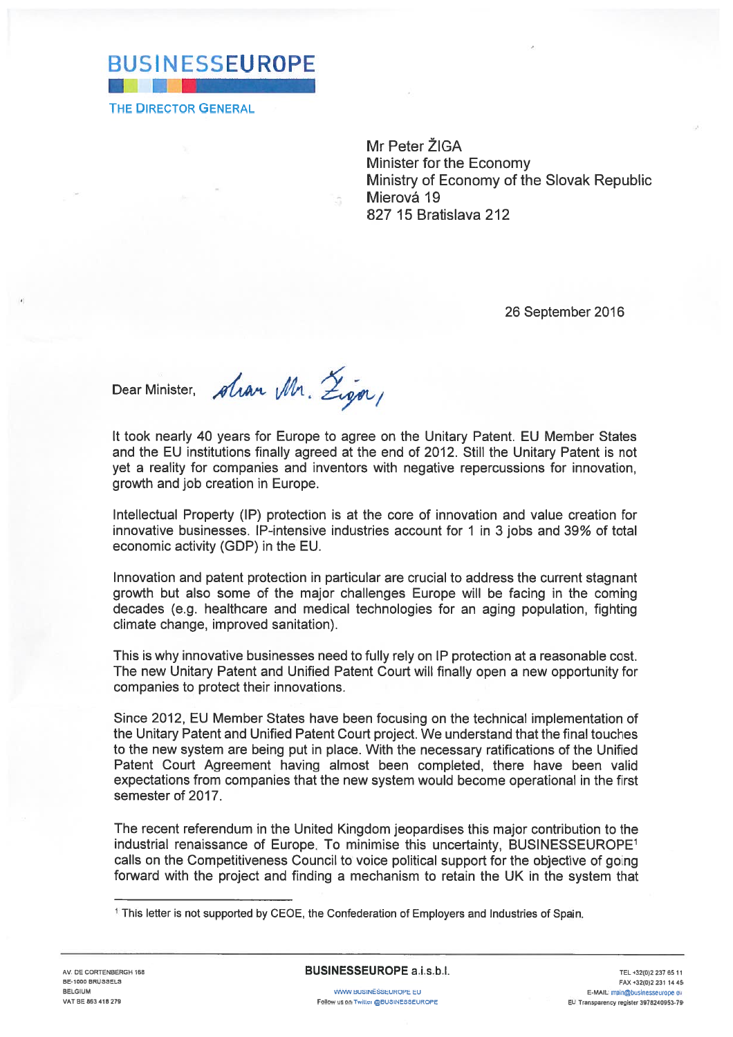

THE DIRECTOR GENERAL

Mr Peter ZIGA Minister for the Economy Ministry of Economy of the Slovak Republic Mierová 19827 15 Bratislava 212

26 September 2016

Dear Minister, *Alvan Wh*.

It took nearly 40 years for Europe to agree on the Unitary Patent. EU Member States and the EU institutions finally agreed at the end of 2012. Still the Unitary Patent is not ye<sup>t</sup> <sup>a</sup> reality for companies and inventors with negative repercussions for innovation, growth and job creation in Europe.

Intellectual Property (IP) protection is at the core of innovation and value creation for innovative businesses. IP-intensive industries account for 1 in 3 jobs and 39% of tota economic activity (GDP) in the EU.

Innovation and patent protection in particular are crucial to address the current stagnant growth but also some of the major challenges Europe will be facing in the coming decades (e.g. healthcare and medical technologies for an aging population, fighting climate change, improved sanitation).

This is why innovative businesses need to fully rely on IP protection at <sup>a</sup> reasonable cost. The new Unitary Patent and Unified Patent Court will finally open <sup>a</sup> new opportunity for companies to protect their innovations.

Since 2012, EU Member States have been focusing on the technical implementation of the Unitary Patent and Unified Patent Court project. We understand that the final touches to the new system are being pu<sup>t</sup> in place. With the necessary ratifications of the Unified Patent Court Agreement having almost been completed, there have been valic expectations from companies that the new system would become operational in the first semester of 2017.

The recent referendum in the United Kingdom jeopardises this major contribution to the industrial renaissance of Europe. To minimise this uncertainty, BUSINESSEUROPE calls on the Competitiveness Council to voice political support for the objective of going forward with the project and finding <sup>a</sup> mechanism to retain the UK in the system that

<sup>&</sup>lt;sup>1</sup> This letter is not supported by CEOE, the Confederation of Employers and Industries of Spain